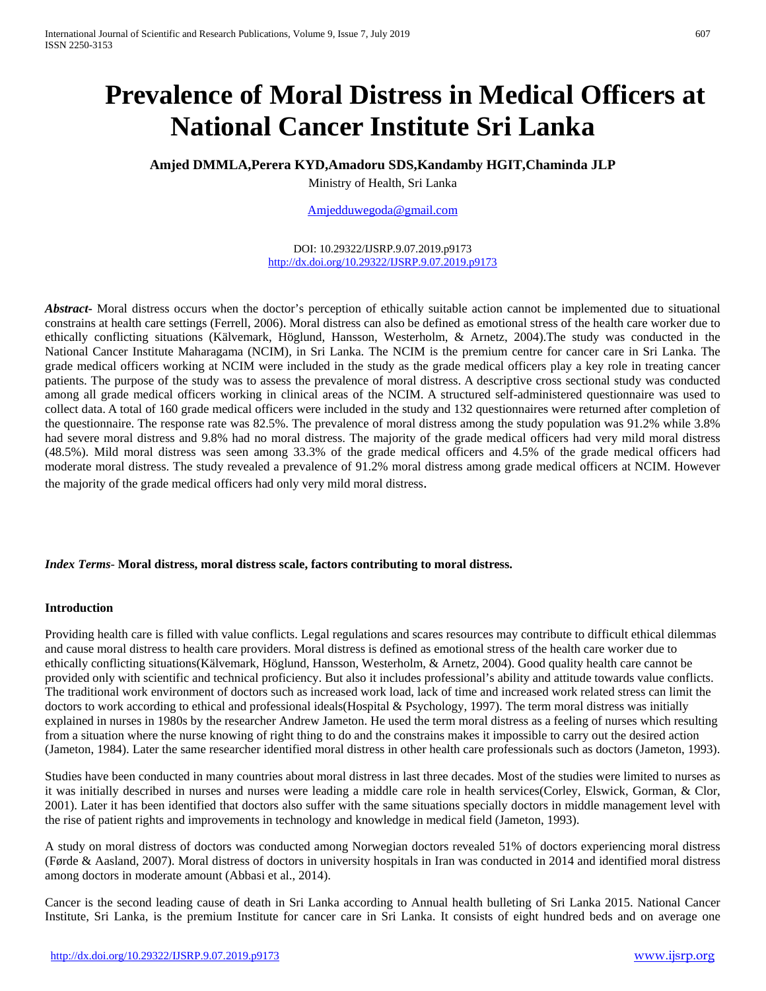# **Prevalence of Moral Distress in Medical Officers at National Cancer Institute Sri Lanka**

# **Amjed DMMLA,Perera KYD,Amadoru SDS,Kandamby HGIT,Chaminda JLP**

Ministry of Health, Sri Lanka

[Amjedduwegoda@gmail.com](mailto:Amjedduwegoda@gmail.com)

DOI: 10.29322/IJSRP.9.07.2019.p9173 <http://dx.doi.org/10.29322/IJSRP.9.07.2019.p9173>

*Abstract***-** Moral distress occurs when the doctor's perception of ethically suitable action cannot be implemented due to situational constrains at health care settings (Ferrell, 2006). Moral distress can also be defined as emotional stress of the health care worker due to ethically conflicting situations (Kälvemark, Höglund, Hansson, Westerholm, & Arnetz, 2004).The study was conducted in the National Cancer Institute Maharagama (NCIM), in Sri Lanka. The NCIM is the premium centre for cancer care in Sri Lanka. The grade medical officers working at NCIM were included in the study as the grade medical officers play a key role in treating cancer patients. The purpose of the study was to assess the prevalence of moral distress. A descriptive cross sectional study was conducted among all grade medical officers working in clinical areas of the NCIM. A structured self-administered questionnaire was used to collect data. A total of 160 grade medical officers were included in the study and 132 questionnaires were returned after completion of the questionnaire. The response rate was 82.5%. The prevalence of moral distress among the study population was 91.2% while 3.8% had severe moral distress and 9.8% had no moral distress. The majority of the grade medical officers had very mild moral distress (48.5%). Mild moral distress was seen among 33.3% of the grade medical officers and 4.5% of the grade medical officers had moderate moral distress. The study revealed a prevalence of 91.2% moral distress among grade medical officers at NCIM. However the majority of the grade medical officers had only very mild moral distress.

## *Index Terms*- **Moral distress, moral distress scale, factors contributing to moral distress.**

#### **Introduction**

Providing health care is filled with value conflicts. Legal regulations and scares resources may contribute to difficult ethical dilemmas and cause moral distress to health care providers. Moral distress is defined as emotional stress of the health care worker due to ethically conflicting situations(Kälvemark, Höglund, Hansson, Westerholm, & Arnetz, 2004). Good quality health care cannot be provided only with scientific and technical proficiency. But also it includes professional's ability and attitude towards value conflicts. The traditional work environment of doctors such as increased work load, lack of time and increased work related stress can limit the doctors to work according to ethical and professional ideals(Hospital & Psychology, 1997). The term moral distress was initially explained in nurses in 1980s by the researcher Andrew Jameton. He used the term moral distress as a feeling of nurses which resulting from a situation where the nurse knowing of right thing to do and the constrains makes it impossible to carry out the desired action (Jameton, 1984). Later the same researcher identified moral distress in other health care professionals such as doctors (Jameton, 1993).

Studies have been conducted in many countries about moral distress in last three decades. Most of the studies were limited to nurses as it was initially described in nurses and nurses were leading a middle care role in health services(Corley, Elswick, Gorman, & Clor, 2001). Later it has been identified that doctors also suffer with the same situations specially doctors in middle management level with the rise of patient rights and improvements in technology and knowledge in medical field (Jameton, 1993).

A study on moral distress of doctors was conducted among Norwegian doctors revealed 51% of doctors experiencing moral distress (Førde & Aasland, 2007). Moral distress of doctors in university hospitals in Iran was conducted in 2014 and identified moral distress among doctors in moderate amount (Abbasi et al., 2014).

Cancer is the second leading cause of death in Sri Lanka according to Annual health bulleting of Sri Lanka 2015. National Cancer Institute, Sri Lanka, is the premium Institute for cancer care in Sri Lanka. It consists of eight hundred beds and on average one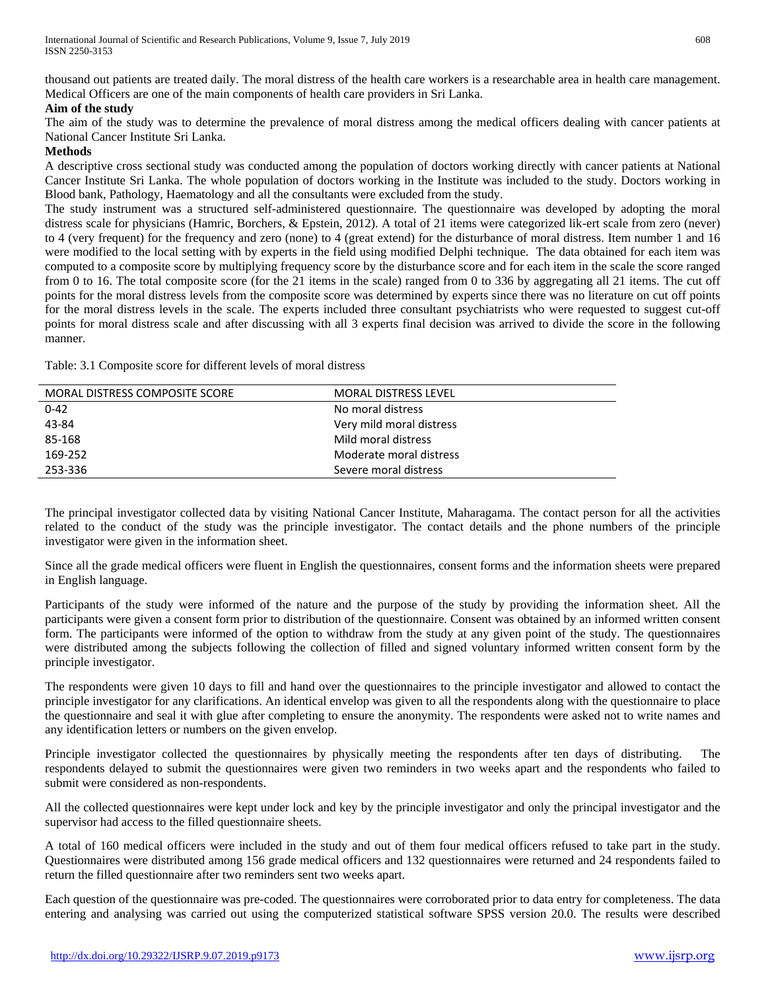thousand out patients are treated daily. The moral distress of the health care workers is a researchable area in health care management. Medical Officers are one of the main components of health care providers in Sri Lanka.

#### **Aim of the study**

The aim of the study was to determine the prevalence of moral distress among the medical officers dealing with cancer patients at National Cancer Institute Sri Lanka.

#### **Methods**

A descriptive cross sectional study was conducted among the population of doctors working directly with cancer patients at National Cancer Institute Sri Lanka. The whole population of doctors working in the Institute was included to the study. Doctors working in Blood bank, Pathology, Haematology and all the consultants were excluded from the study.

The study instrument was a structured self-administered questionnaire. The questionnaire was developed by adopting the moral distress scale for physicians (Hamric, Borchers, & Epstein, 2012). A total of 21 items were categorized lik-ert scale from zero (never) to 4 (very frequent) for the frequency and zero (none) to 4 (great extend) for the disturbance of moral distress. Item number 1 and 16 were modified to the local setting with by experts in the field using modified Delphi technique. The data obtained for each item was computed to a composite score by multiplying frequency score by the disturbance score and for each item in the scale the score ranged from 0 to 16. The total composite score (for the 21 items in the scale) ranged from 0 to 336 by aggregating all 21 items. The cut off points for the moral distress levels from the composite score was determined by experts since there was no literature on cut off points for the moral distress levels in the scale. The experts included three consultant psychiatrists who were requested to suggest cut-off points for moral distress scale and after discussing with all 3 experts final decision was arrived to divide the score in the following manner.

Table: 3.1 Composite score for different levels of moral distress

| MORAL DISTRESS COMPOSITE SCORE | <b>MORAL DISTRESS LEVEL</b> |
|--------------------------------|-----------------------------|
| $0 - 42$                       | No moral distress           |
| 43-84                          | Very mild moral distress    |
| 85-168                         | Mild moral distress         |
| 169-252                        | Moderate moral distress     |
| 253-336                        | Severe moral distress       |
|                                |                             |

The principal investigator collected data by visiting National Cancer Institute, Maharagama. The contact person for all the activities related to the conduct of the study was the principle investigator. The contact details and the phone numbers of the principle investigator were given in the information sheet.

Since all the grade medical officers were fluent in English the questionnaires, consent forms and the information sheets were prepared in English language.

Participants of the study were informed of the nature and the purpose of the study by providing the information sheet. All the participants were given a consent form prior to distribution of the questionnaire. Consent was obtained by an informed written consent form. The participants were informed of the option to withdraw from the study at any given point of the study. The questionnaires were distributed among the subjects following the collection of filled and signed voluntary informed written consent form by the principle investigator.

The respondents were given 10 days to fill and hand over the questionnaires to the principle investigator and allowed to contact the principle investigator for any clarifications. An identical envelop was given to all the respondents along with the questionnaire to place the questionnaire and seal it with glue after completing to ensure the anonymity. The respondents were asked not to write names and any identification letters or numbers on the given envelop.

Principle investigator collected the questionnaires by physically meeting the respondents after ten days of distributing. The respondents delayed to submit the questionnaires were given two reminders in two weeks apart and the respondents who failed to submit were considered as non-respondents.

All the collected questionnaires were kept under lock and key by the principle investigator and only the principal investigator and the supervisor had access to the filled questionnaire sheets.

A total of 160 medical officers were included in the study and out of them four medical officers refused to take part in the study. Questionnaires were distributed among 156 grade medical officers and 132 questionnaires were returned and 24 respondents failed to return the filled questionnaire after two reminders sent two weeks apart.

Each question of the questionnaire was pre-coded. The questionnaires were corroborated prior to data entry for completeness. The data entering and analysing was carried out using the computerized statistical software SPSS version 20.0. The results were described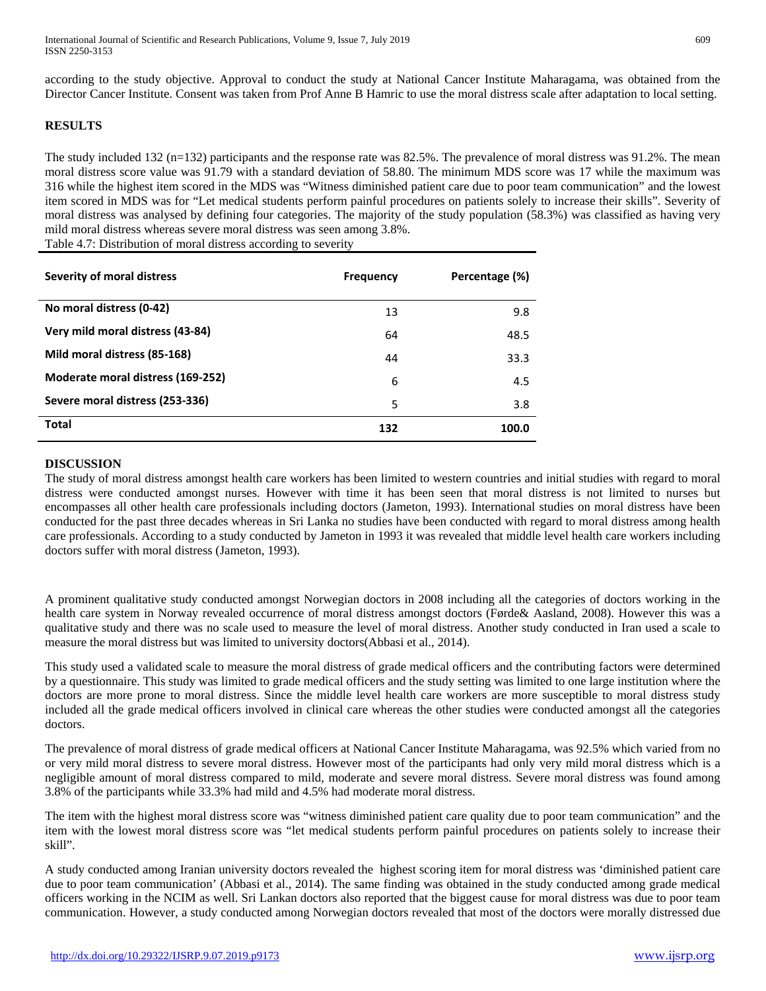according to the study objective. Approval to conduct the study at National Cancer Institute Maharagama, was obtained from the Director Cancer Institute. Consent was taken from Prof Anne B Hamric to use the moral distress scale after adaptation to local setting.

# **RESULTS**

The study included 132 (n=132) participants and the response rate was 82.5%. The prevalence of moral distress was 91.2%. The mean moral distress score value was 91.79 with a standard deviation of 58.80. The minimum MDS score was 17 while the maximum was 316 while the highest item scored in the MDS was "Witness diminished patient care due to poor team communication" and the lowest item scored in MDS was for "Let medical students perform painful procedures on patients solely to increase their skills". Severity of moral distress was analysed by defining four categories. The majority of the study population (58.3%) was classified as having very mild moral distress whereas severe moral distress was seen among 3.8%. Table 4.7: Distribution of moral distress according to severity

| Severity of moral distress        | <b>Frequency</b> | Percentage (%) |
|-----------------------------------|------------------|----------------|
| No moral distress (0-42)          | 13               | 9.8            |
| Very mild moral distress (43-84)  | 64               | 48.5           |
| Mild moral distress (85-168)      | 44               | 33.3           |
| Moderate moral distress (169-252) | 6                | 4.5            |
| Severe moral distress (253-336)   | 5                | 3.8            |
| <b>Total</b>                      | 132              | 100.0          |

## **DISCUSSION**

The study of moral distress amongst health care workers has been limited to western countries and initial studies with regard to moral distress were conducted amongst nurses. However with time it has been seen that moral distress is not limited to nurses but encompasses all other health care professionals including doctors (Jameton, 1993). International studies on moral distress have been conducted for the past three decades whereas in Sri Lanka no studies have been conducted with regard to moral distress among health care professionals. According to a study conducted by Jameton in 1993 it was revealed that middle level health care workers including doctors suffer with moral distress (Jameton, 1993).

A prominent qualitative study conducted amongst Norwegian doctors in 2008 including all the categories of doctors working in the health care system in Norway revealed occurrence of moral distress amongst doctors (Førde& Aasland, 2008). However this was a qualitative study and there was no scale used to measure the level of moral distress. Another study conducted in Iran used a scale to measure the moral distress but was limited to university doctors(Abbasi et al., 2014).

This study used a validated scale to measure the moral distress of grade medical officers and the contributing factors were determined by a questionnaire. This study was limited to grade medical officers and the study setting was limited to one large institution where the doctors are more prone to moral distress. Since the middle level health care workers are more susceptible to moral distress study included all the grade medical officers involved in clinical care whereas the other studies were conducted amongst all the categories doctors.

The prevalence of moral distress of grade medical officers at National Cancer Institute Maharagama, was 92.5% which varied from no or very mild moral distress to severe moral distress. However most of the participants had only very mild moral distress which is a negligible amount of moral distress compared to mild, moderate and severe moral distress. Severe moral distress was found among 3.8% of the participants while 33.3% had mild and 4.5% had moderate moral distress.

The item with the highest moral distress score was "witness diminished patient care quality due to poor team communication" and the item with the lowest moral distress score was "let medical students perform painful procedures on patients solely to increase their skill".

A study conducted among Iranian university doctors revealed the highest scoring item for moral distress was 'diminished patient care due to poor team communication' (Abbasi et al., 2014). The same finding was obtained in the study conducted among grade medical officers working in the NCIM as well. Sri Lankan doctors also reported that the biggest cause for moral distress was due to poor team communication. However, a study conducted among Norwegian doctors revealed that most of the doctors were morally distressed due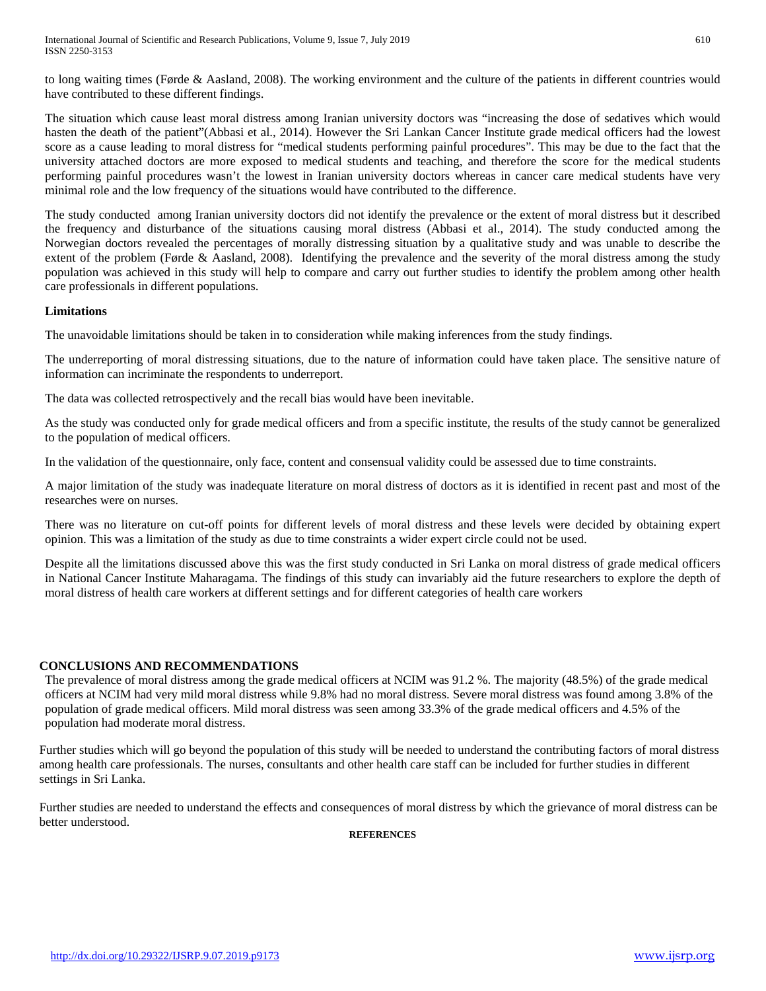to long waiting times (Førde & Aasland, 2008). The working environment and the culture of the patients in different countries would have contributed to these different findings.

The situation which cause least moral distress among Iranian university doctors was "increasing the dose of sedatives which would hasten the death of the patient"(Abbasi et al., 2014). However the Sri Lankan Cancer Institute grade medical officers had the lowest score as a cause leading to moral distress for "medical students performing painful procedures". This may be due to the fact that the university attached doctors are more exposed to medical students and teaching, and therefore the score for the medical students performing painful procedures wasn't the lowest in Iranian university doctors whereas in cancer care medical students have very minimal role and the low frequency of the situations would have contributed to the difference.

The study conducted among Iranian university doctors did not identify the prevalence or the extent of moral distress but it described the frequency and disturbance of the situations causing moral distress (Abbasi et al., 2014). The study conducted among the Norwegian doctors revealed the percentages of morally distressing situation by a qualitative study and was unable to describe the extent of the problem (Førde & Aasland, 2008). Identifying the prevalence and the severity of the moral distress among the study population was achieved in this study will help to compare and carry out further studies to identify the problem among other health care professionals in different populations.

#### **Limitations**

The unavoidable limitations should be taken in to consideration while making inferences from the study findings.

The underreporting of moral distressing situations, due to the nature of information could have taken place. The sensitive nature of information can incriminate the respondents to underreport.

The data was collected retrospectively and the recall bias would have been inevitable.

As the study was conducted only for grade medical officers and from a specific institute, the results of the study cannot be generalized to the population of medical officers.

In the validation of the questionnaire, only face, content and consensual validity could be assessed due to time constraints.

A major limitation of the study was inadequate literature on moral distress of doctors as it is identified in recent past and most of the researches were on nurses.

There was no literature on cut-off points for different levels of moral distress and these levels were decided by obtaining expert opinion. This was a limitation of the study as due to time constraints a wider expert circle could not be used.

Despite all the limitations discussed above this was the first study conducted in Sri Lanka on moral distress of grade medical officers in National Cancer Institute Maharagama. The findings of this study can invariably aid the future researchers to explore the depth of moral distress of health care workers at different settings and for different categories of health care workers

## **CONCLUSIONS AND RECOMMENDATIONS**

The prevalence of moral distress among the grade medical officers at NCIM was 91.2 %. The majority (48.5%) of the grade medical officers at NCIM had very mild moral distress while 9.8% had no moral distress. Severe moral distress was found among 3.8% of the population of grade medical officers. Mild moral distress was seen among 33.3% of the grade medical officers and 4.5% of the population had moderate moral distress.

Further studies which will go beyond the population of this study will be needed to understand the contributing factors of moral distress among health care professionals. The nurses, consultants and other health care staff can be included for further studies in different settings in Sri Lanka.

Further studies are needed to understand the effects and consequences of moral distress by which the grievance of moral distress can be better understood.

**REFERENCES**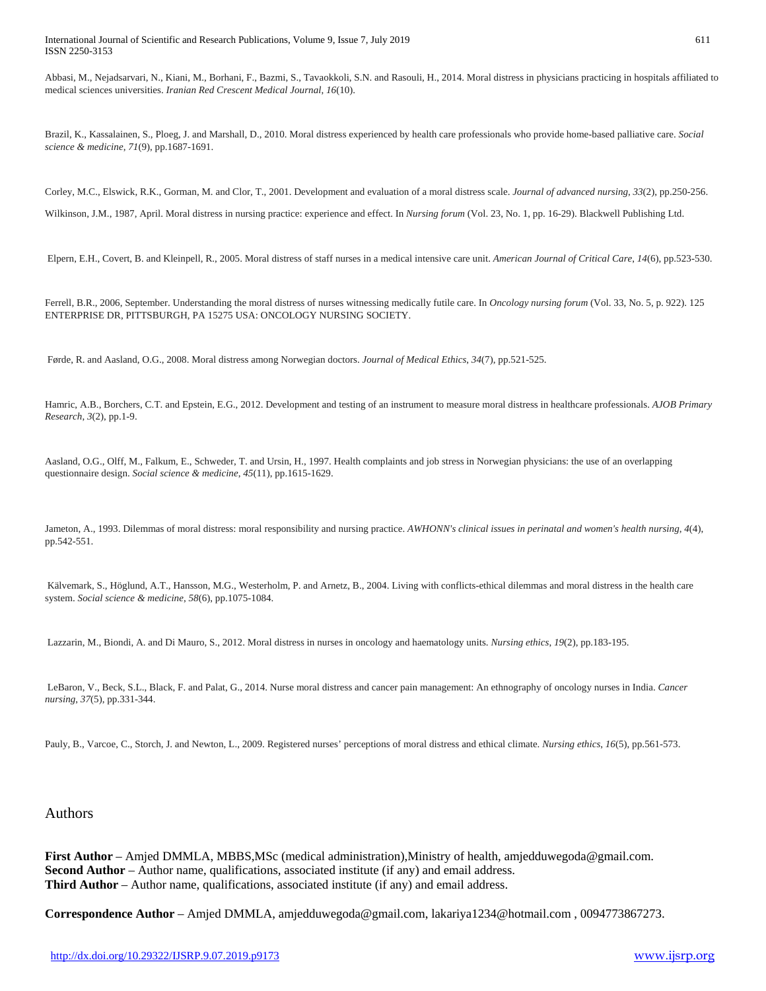Abbasi, M., Nejadsarvari, N., Kiani, M., Borhani, F., Bazmi, S., Tavaokkoli, S.N. and Rasouli, H., 2014. Moral distress in physicians practicing in hospitals affiliated to medical sciences universities. *Iranian Red Crescent Medical Journal*, *16*(10).

Brazil, K., Kassalainen, S., Ploeg, J. and Marshall, D., 2010. Moral distress experienced by health care professionals who provide home-based palliative care. *Social science & medicine*, *71*(9), pp.1687-1691.

Corley, M.C., Elswick, R.K., Gorman, M. and Clor, T., 2001. Development and evaluation of a moral distress scale. *Journal of advanced nursing*, *33*(2), pp.250-256.

Wilkinson, J.M., 1987, April. Moral distress in nursing practice: experience and effect. In *Nursing forum* (Vol. 23, No. 1, pp. 16-29). Blackwell Publishing Ltd.

Elpern, E.H., Covert, B. and Kleinpell, R., 2005. Moral distress of staff nurses in a medical intensive care unit. *American Journal of Critical Care*, *14*(6), pp.523-530.

Ferrell, B.R., 2006, September. Understanding the moral distress of nurses witnessing medically futile care. In *Oncology nursing forum* (Vol. 33, No. 5, p. 922). 125 ENTERPRISE DR, PITTSBURGH, PA 15275 USA: ONCOLOGY NURSING SOCIETY.

Førde, R. and Aasland, O.G., 2008. Moral distress among Norwegian doctors. *Journal of Medical Ethics*, *34*(7), pp.521-525.

Hamric, A.B., Borchers, C.T. and Epstein, E.G., 2012. Development and testing of an instrument to measure moral distress in healthcare professionals. *AJOB Primary Research*, *3*(2), pp.1-9.

Aasland, O.G., Olff, M., Falkum, E., Schweder, T. and Ursin, H., 1997. Health complaints and job stress in Norwegian physicians: the use of an overlapping questionnaire design. *Social science & medicine*, *45*(11), pp.1615-1629.

Jameton, A., 1993. Dilemmas of moral distress: moral responsibility and nursing practice. *AWHONN's clinical issues in perinatal and women's health nursing*, *4*(4), pp.542-551.

Kälvemark, S., Höglund, A.T., Hansson, M.G., Westerholm, P. and Arnetz, B., 2004. Living with conflicts-ethical dilemmas and moral distress in the health care system. *Social science & medicine*, *58*(6), pp.1075-1084.

Lazzarin, M., Biondi, A. and Di Mauro, S., 2012. Moral distress in nurses in oncology and haematology units. *Nursing ethics*, *19*(2), pp.183-195.

LeBaron, V., Beck, S.L., Black, F. and Palat, G., 2014. Nurse moral distress and cancer pain management: An ethnography of oncology nurses in India. *Cancer nursing*, *37*(5), pp.331-344.

Pauly, B., Varcoe, C., Storch, J. and Newton, L., 2009. Registered nurses' perceptions of moral distress and ethical climate. *Nursing ethics*, *16*(5), pp.561-573.

#### Authors

**First Author** – Amjed DMMLA, MBBS,MSc (medical administration),Ministry of health, amjedduwegoda@gmail.com. **Second Author** – Author name, qualifications, associated institute (if any) and email address. **Third Author** – Author name, qualifications, associated institute (if any) and email address.

**Correspondence Author** – Amjed DMMLA, amjedduwegoda@gmail.com, lakariya1234@hotmail.com , 0094773867273.